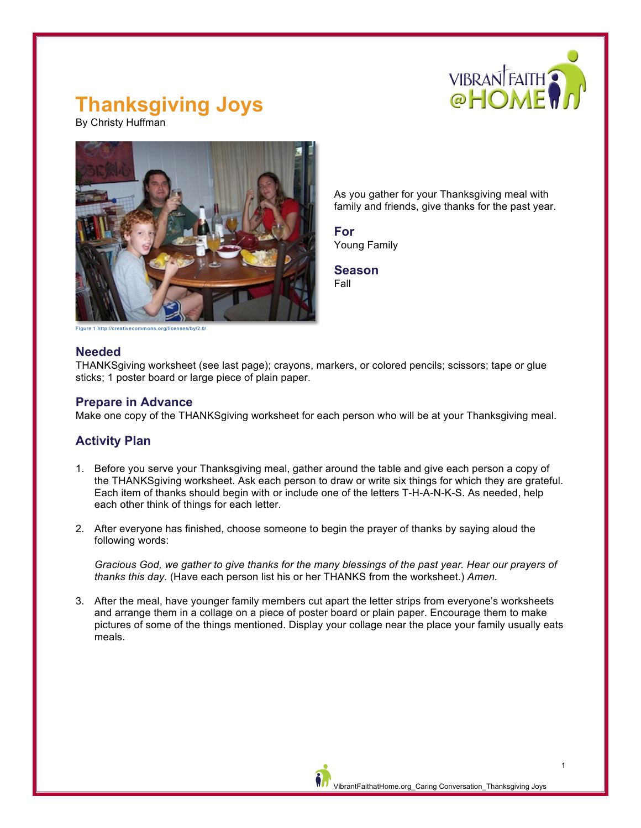

## **Thanksgiving Joys**

By Christy Huffman



As you gather for your Thanksgiving meal with family and friends, give thanks for the past year.

**For** Young Family

**Season** Fall

**Figure 1 http://creativecommons.org/licenses/by/2.0/**

#### **Needed**

THANKSgiving worksheet (see last page); crayons, markers, or colored pencils; scissors; tape or glue sticks; 1 poster board or large piece of plain paper.

#### **Prepare in Advance**

Make one copy of the THANKSgiving worksheet for each person who will be at your Thanksgiving meal.

### **Activity Plan**

- 1. Before you serve your Thanksgiving meal, gather around the table and give each person a copy of the THANKSgiving worksheet. Ask each person to draw or write six things for which they are grateful. Each item of thanks should begin with or include one of the letters T-H-A-N-K-S. As needed, help each other think of things for each letter.
- 2. After everyone has finished, choose someone to begin the prayer of thanks by saying aloud the following words:

*Gracious God, we gather to give thanks for the many blessings of the past year. Hear our prayers of thanks this day.* (Have each person list his or her THANKS from the worksheet.) *Amen.*

3. After the meal, have younger family members cut apart the letter strips from everyone's worksheets and arrange them in a collage on a piece of poster board or plain paper. Encourage them to make pictures of some of the things mentioned. Display your collage near the place your family usually eats meals.